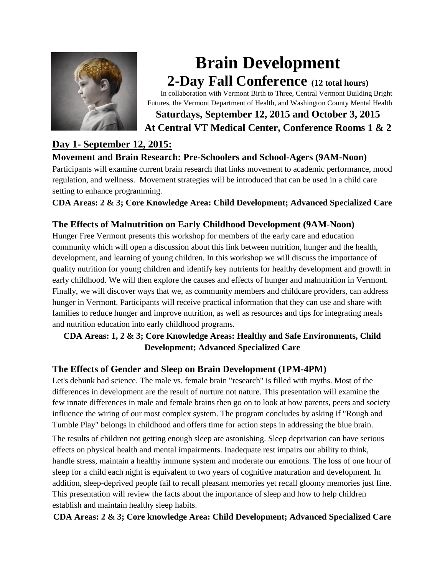

# **Brain Development 2-Day Fall Conference (12 total hours)**

In collaboration with Vermont Birth to Three, Central Vermont Building Bright Futures, the Vermont Department of Health, and Washington County Mental Health

**Saturdays, September 12, 2015 and October 3, 2015 At Central VT Medical Center, Conference Rooms 1 & 2**

# **Day 1- September 12, 2015:**

## **Movement and Brain Research: Pre-Schoolers and School-Agers (9AM-Noon)**

Participants will examine current brain research that links movement to academic performance, mood regulation, and wellness. Movement strategies will be introduced that can be used in a child care setting to enhance programming.

**CDA Areas: 2 & 3; Core Knowledge Area: Child Development; Advanced Specialized Care**

## **The Effects of Malnutrition on Early Childhood Development (9AM-Noon)**

Hunger Free Vermont presents this workshop for members of the early care and education community which will open a discussion about this link between nutrition, hunger and the health, development, and learning of young children. In this workshop we will discuss the importance of quality nutrition for young children and identify key nutrients for healthy development and growth in early childhood. We will then explore the causes and effects of hunger and malnutrition in Vermont. Finally, we will discover ways that we, as community members and childcare providers, can address hunger in Vermont. Participants will receive practical information that they can use and share with families to reduce hunger and improve nutrition, as well as resources and tips for integrating meals and nutrition education into early childhood programs.

#### **CDA Areas: 1, 2 & 3; Core Knowledge Areas: Healthy and Safe Environments, Child Development; Advanced Specialized Care**

## **The Effects of Gender and Sleep on Brain Development (1PM-4PM)**

Let's debunk bad science. The male vs. female brain "research" is filled with myths. Most of the differences in development are the result of nurture not nature. This presentation will examine the few innate differences in male and female brains then go on to look at how parents, peers and society influence the wiring of our most complex system. The program concludes by asking if "Rough and Tumble Play" belongs in childhood and offers time for action steps in addressing the blue brain.

The results of children not getting enough sleep are astonishing. Sleep deprivation can have serious effects on physical health and mental impairments. Inadequate rest impairs our ability to think, handle stress, maintain a healthy immune system and moderate our emotions. The loss of one hour of sleep for a child each night is equivalent to two years of cognitive maturation and development. In addition, sleep-deprived people fail to recall pleasant memories yet recall gloomy memories just fine. This presentation will review the facts about the importance of sleep and how to help children establish and maintain healthy sleep habits.

**CDA Areas: 2 & 3; Core knowledge Area: Child Development; Advanced Specialized Care**